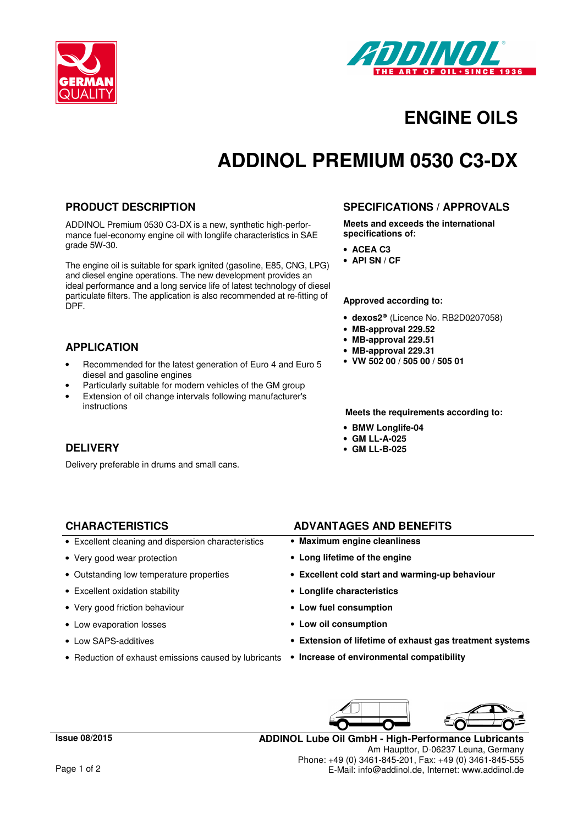



### **ENGINE OILS**

# **ADDINOL PREMIUM 0530 C3-DX**

#### **PRODUCT DESCRIPTION**

ADDINOL Premium 0530 C3-DX is a new, synthetic high-performance fuel-economy engine oil with longlife characteristics in SAE grade 5W-30.

The engine oil is suitable for spark ignited (gasoline, E85, CNG, LPG) and diesel engine operations. The new development provides an ideal performance and a long service life of latest technology of diesel particulate filters. The application is also recommended at re-fitting of DPF.

### **APPLICATION**

- Recommended for the latest generation of Euro 4 and Euro 5 diesel and gasoline engines
- Particularly suitable for modern vehicles of the GM group
- Extension of oil change intervals following manufacturer's instructions

### **DELIVERY**

Delivery preferable in drums and small cans.

### **SPECIFICATIONS / APPROVALS**

**Meets and exceeds the international specifications of:** 

- **ACEA C3**
- **API SN / CF**

#### **Approved according to:**

- **dexos2®** (Licence No. RB2D0207058)
- **MB-approval 229.52**
- **MB-approval 229.51**
- **MB-approval 229.31**
- **VW 502 00 / 505 00 / 505 01**

**Meets the requirements according to:** 

- **BMW Longlife-04**
- **GM LL-A-025**
- **GM LL-B-025**

- Excellent cleaning and dispersion characteristics **Maximum engine cleanliness**
- 
- 
- Excellent oxidation stability **Longlife characteristics**
- Very good friction behaviour  **Low fuel consumption**
- Low evaporation losses **Low oil consumption**
- 
- Reduction of exhaust emissions caused by lubricants **Increase of environmental compatibility**

**CHARACTERISTICS ADVANTAGES AND BENEFITS**

- 
- Very good wear protection **Long lifetime of the engine**
- Outstanding low temperature properties **Excellent cold start and warming-up behaviour** 
	-
	-
	-
- Low SAPS-additives **Extension of lifetime of exhaust gas treatment systems**
	-



**ADDINOL Lube Oil GmbH - High-Performance Lubricants** Am Haupttor, D-06237 Leuna, Germany Phone: +49 (0) 3461-845-201, Fax: +49 (0) 3461-845-555 E-Mail: info@addinol.de, Internet: www.addinol.de